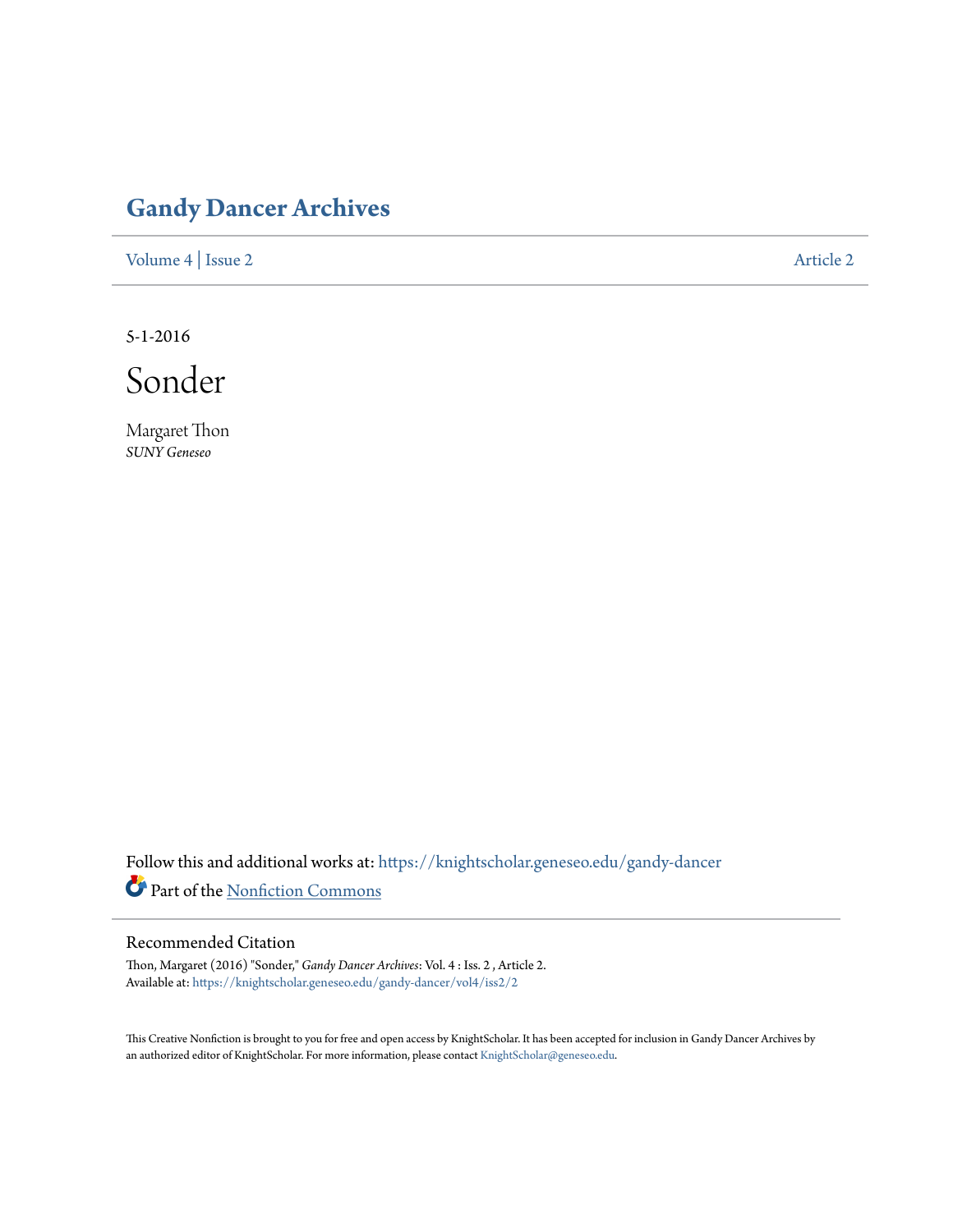# **[Gandy Dancer Archives](https://knightscholar.geneseo.edu/gandy-dancer?utm_source=knightscholar.geneseo.edu%2Fgandy-dancer%2Fvol4%2Fiss2%2F2&utm_medium=PDF&utm_campaign=PDFCoverPages)**

[Volume 4](https://knightscholar.geneseo.edu/gandy-dancer/vol4?utm_source=knightscholar.geneseo.edu%2Fgandy-dancer%2Fvol4%2Fiss2%2F2&utm_medium=PDF&utm_campaign=PDFCoverPages) | [Issue 2](https://knightscholar.geneseo.edu/gandy-dancer/vol4/iss2?utm_source=knightscholar.geneseo.edu%2Fgandy-dancer%2Fvol4%2Fiss2%2F2&utm_medium=PDF&utm_campaign=PDFCoverPages) [Article 2](https://knightscholar.geneseo.edu/gandy-dancer/vol4/iss2/2?utm_source=knightscholar.geneseo.edu%2Fgandy-dancer%2Fvol4%2Fiss2%2F2&utm_medium=PDF&utm_campaign=PDFCoverPages)

5-1-2016



Margaret Thon *SUNY Geneseo*

Follow this and additional works at: [https://knightscholar.geneseo.edu/gandy-dancer](https://knightscholar.geneseo.edu/gandy-dancer?utm_source=knightscholar.geneseo.edu%2Fgandy-dancer%2Fvol4%2Fiss2%2F2&utm_medium=PDF&utm_campaign=PDFCoverPages) Part of the [Nonfiction Commons](http://network.bepress.com/hgg/discipline/1152?utm_source=knightscholar.geneseo.edu%2Fgandy-dancer%2Fvol4%2Fiss2%2F2&utm_medium=PDF&utm_campaign=PDFCoverPages)

# Recommended Citation

Thon, Margaret (2016) "Sonder," *Gandy Dancer Archives*: Vol. 4 : Iss. 2 , Article 2.  $\pmb{A}\pmb{v}$ ailable at: https://knightscholar.geneseo.edu/gandy-dancer/vol<br/>4/iss2/2

This Creative Nonfiction is brought to you for free and open access by KnightScholar. It has been accepted for inclusion in Gandy Dancer Archives by an authorized editor of KnightScholar. For more information, please contact [KnightScholar@geneseo.edu](mailto:KnightScholar@geneseo.edu).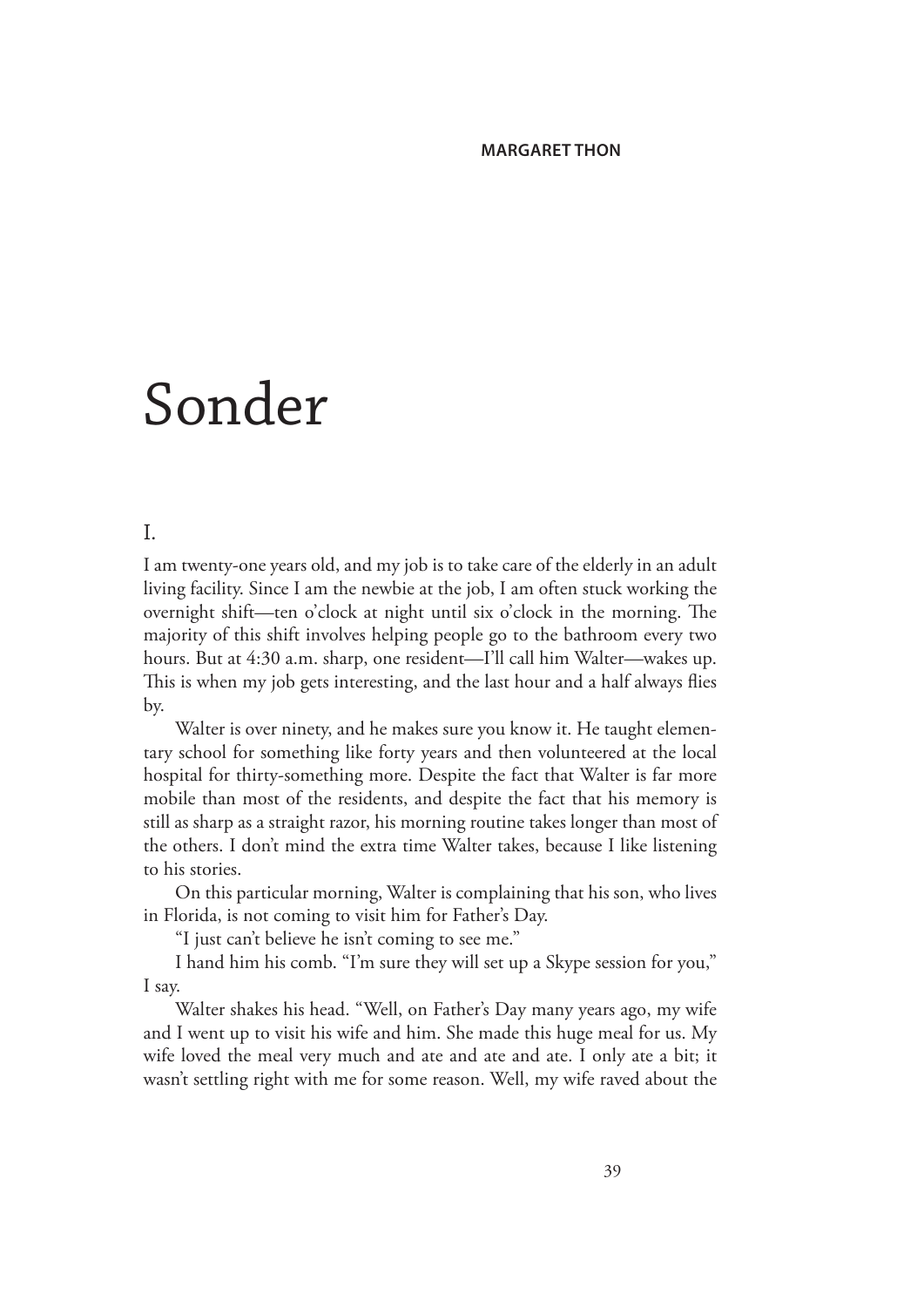# Sonder

## I.

I am twenty-one years old, and my job is to take care of the elderly in an adult living facility. Since I am the newbie at the job, I am often stuck working the overnight shift—ten o'clock at night until six o'clock in the morning. The majority of this shift involves helping people go to the bathroom every two hours. But at 4:30 a.m. sharp, one resident—I'll call him Walter—wakes up. This is when my job gets interesting, and the last hour and a half always flies by.

Walter is over ninety, and he makes sure you know it. He taught elementary school for something like forty years and then volunteered at the local hospital for thirty-something more. Despite the fact that Walter is far more mobile than most of the residents, and despite the fact that his memory is still as sharp as a straight razor, his morning routine takes longer than most of the others. I don't mind the extra time Walter takes, because I like listening to his stories.

On this particular morning, Walter is complaining that his son, who lives in Florida, is not coming to visit him for Father's Day.

"I just can't believe he isn't coming to see me."

I hand him his comb. "I'm sure they will set up a Skype session for you," I say.

Walter shakes his head. "Well, on Father's Day many years ago, my wife and I went up to visit his wife and him. She made this huge meal for us. My wife loved the meal very much and ate and ate and ate. I only ate a bit; it wasn't settling right with me for some reason. Well, my wife raved about the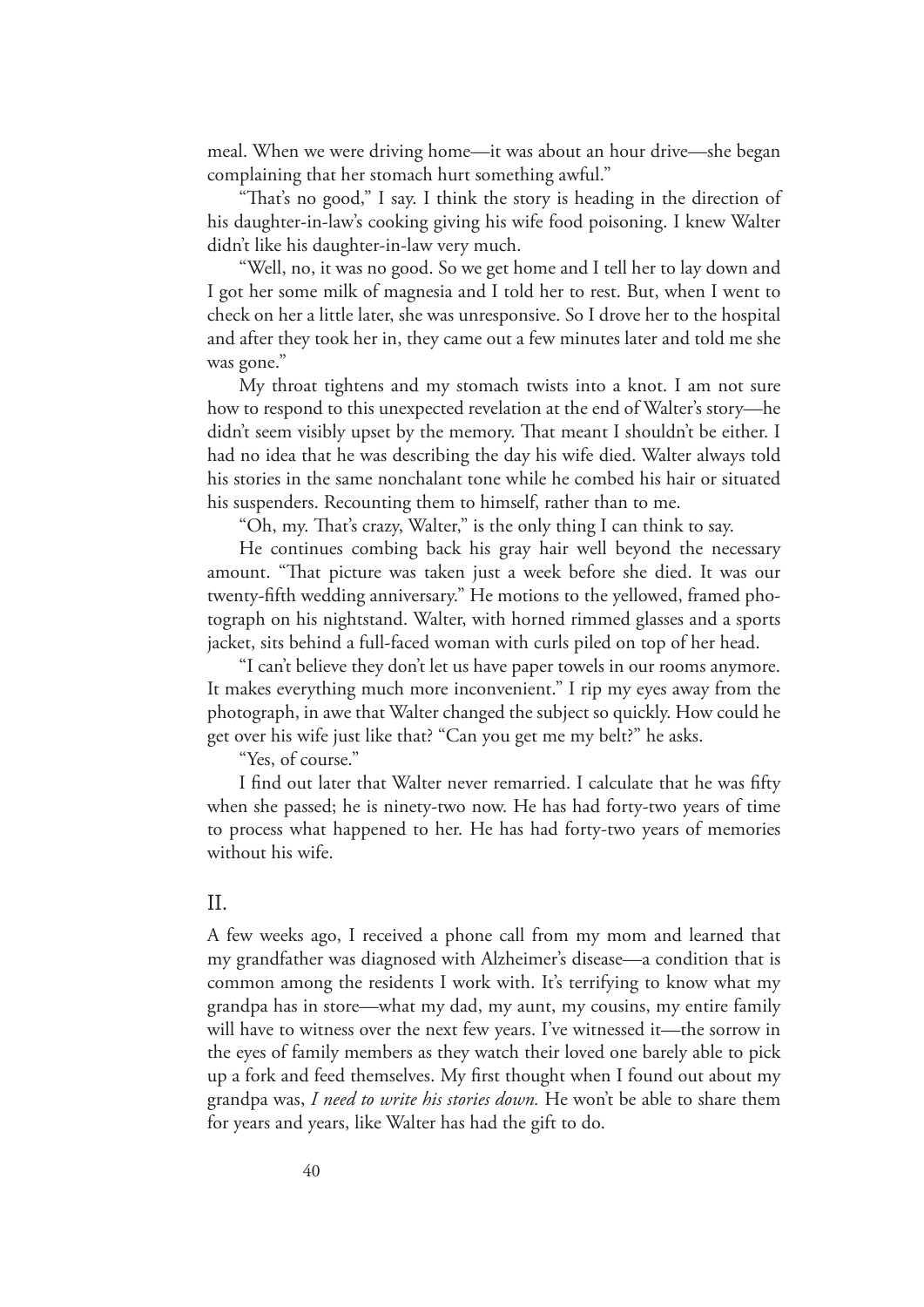meal. When we were driving home—it was about an hour drive—she began complaining that her stomach hurt something awful."

"That's no good," I say. I think the story is heading in the direction of his daughter-in-law's cooking giving his wife food poisoning. I knew Walter didn't like his daughter-in-law very much.

"Well, no, it was no good. So we get home and I tell her to lay down and I got her some milk of magnesia and I told her to rest. But, when I went to check on her a little later, she was unresponsive. So I drove her to the hospital and after they took her in, they came out a few minutes later and told me she was gone."

My throat tightens and my stomach twists into a knot. I am not sure how to respond to this unexpected revelation at the end of Walter's story—he didn't seem visibly upset by the memory. That meant I shouldn't be either. I had no idea that he was describing the day his wife died. Walter always told his stories in the same nonchalant tone while he combed his hair or situated his suspenders. Recounting them to himself, rather than to me.

"Oh, my. That's crazy, Walter," is the only thing I can think to say.

He continues combing back his gray hair well beyond the necessary amount. "That picture was taken just a week before she died. It was our twenty-fifth wedding anniversary." He motions to the yellowed, framed photograph on his nightstand. Walter, with horned rimmed glasses and a sports jacket, sits behind a full-faced woman with curls piled on top of her head.

"I can't believe they don't let us have paper towels in our rooms anymore. It makes everything much more inconvenient." I rip my eyes away from the photograph, in awe that Walter changed the subject so quickly. How could he get over his wife just like that? "Can you get me my belt?" he asks.

"Yes, of course."

I find out later that Walter never remarried. I calculate that he was fifty when she passed; he is ninety-two now. He has had forty-two years of time to process what happened to her. He has had forty-two years of memories without his wife.

#### II.

A few weeks ago, I received a phone call from my mom and learned that my grandfather was diagnosed with Alzheimer's disease—a condition that is common among the residents I work with. It's terrifying to know what my grandpa has in store—what my dad, my aunt, my cousins, my entire family will have to witness over the next few years. I've witnessed it—the sorrow in the eyes of family members as they watch their loved one barely able to pick up a fork and feed themselves. My first thought when I found out about my grandpa was, *I need to write his stories down.* He won't be able to share them for years and years, like Walter has had the gift to do.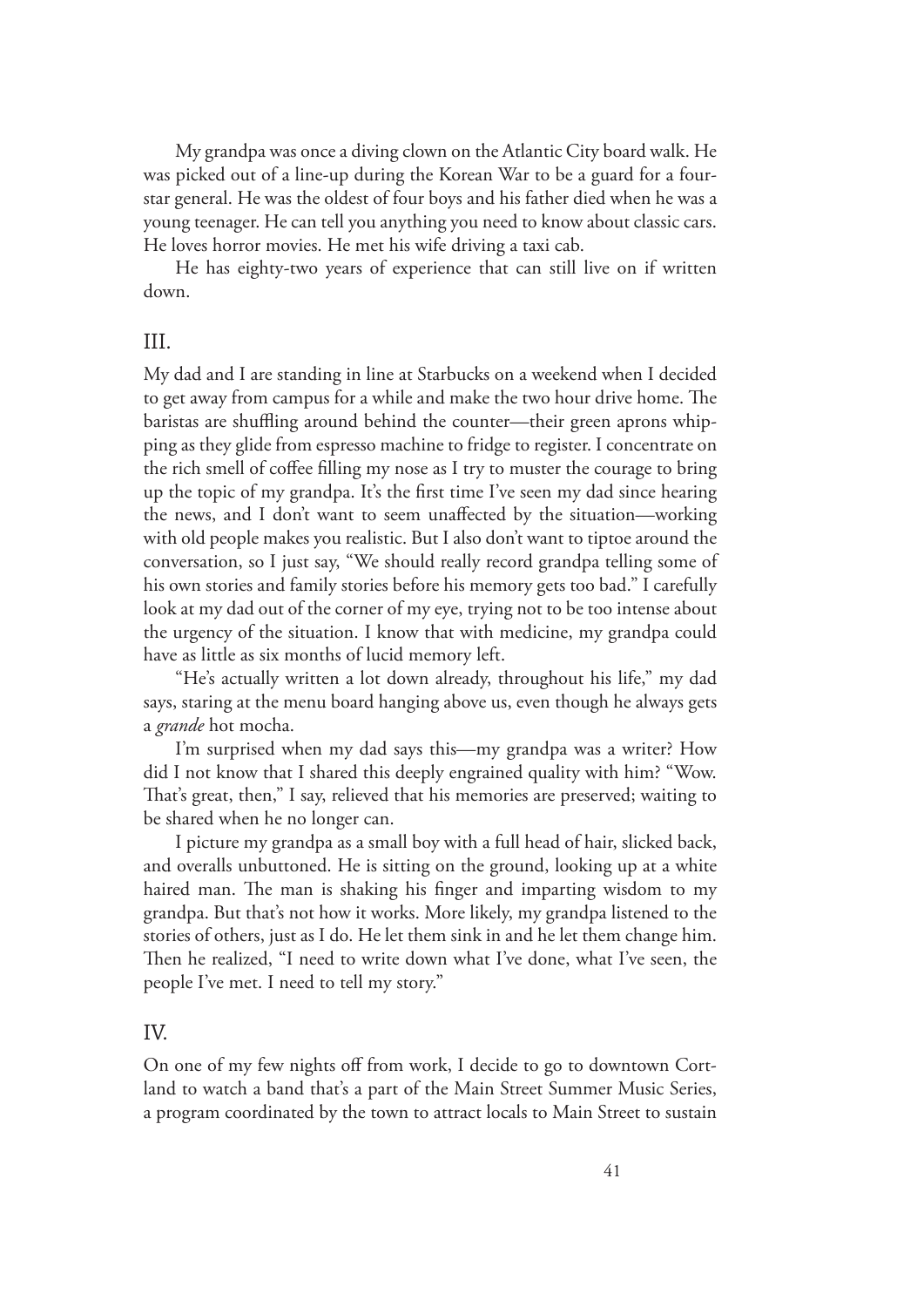My grandpa was once a diving clown on the Atlantic City board walk. He was picked out of a line-up during the Korean War to be a guard for a fourstar general. He was the oldest of four boys and his father died when he was a young teenager. He can tell you anything you need to know about classic cars. He loves horror movies. He met his wife driving a taxi cab.

He has eighty-two years of experience that can still live on if written down.

### III.

My dad and I are standing in line at Starbucks on a weekend when I decided to get away from campus for a while and make the two hour drive home. The baristas are shuffling around behind the counter—their green aprons whipping as they glide from espresso machine to fridge to register. I concentrate on the rich smell of coffee filling my nose as I try to muster the courage to bring up the topic of my grandpa. It's the first time I've seen my dad since hearing the news, and I don't want to seem unaffected by the situation—working with old people makes you realistic. But I also don't want to tiptoe around the conversation, so I just say, "We should really record grandpa telling some of his own stories and family stories before his memory gets too bad." I carefully look at my dad out of the corner of my eye, trying not to be too intense about the urgency of the situation. I know that with medicine, my grandpa could have as little as six months of lucid memory left.

"He's actually written a lot down already, throughout his life," my dad says, staring at the menu board hanging above us, even though he always gets a *grande* hot mocha.

I'm surprised when my dad says this—my grandpa was a writer? How did I not know that I shared this deeply engrained quality with him? "Wow. That's great, then," I say, relieved that his memories are preserved; waiting to be shared when he no longer can.

I picture my grandpa as a small boy with a full head of hair, slicked back, and overalls unbuttoned. He is sitting on the ground, looking up at a white haired man. The man is shaking his finger and imparting wisdom to my grandpa. But that's not how it works. More likely, my grandpa listened to the stories of others, just as I do. He let them sink in and he let them change him. Then he realized, "I need to write down what I've done, what I've seen, the people I've met. I need to tell my story."

#### IV.

On one of my few nights off from work, I decide to go to downtown Cortland to watch a band that's a part of the Main Street Summer Music Series, a program coordinated by the town to attract locals to Main Street to sustain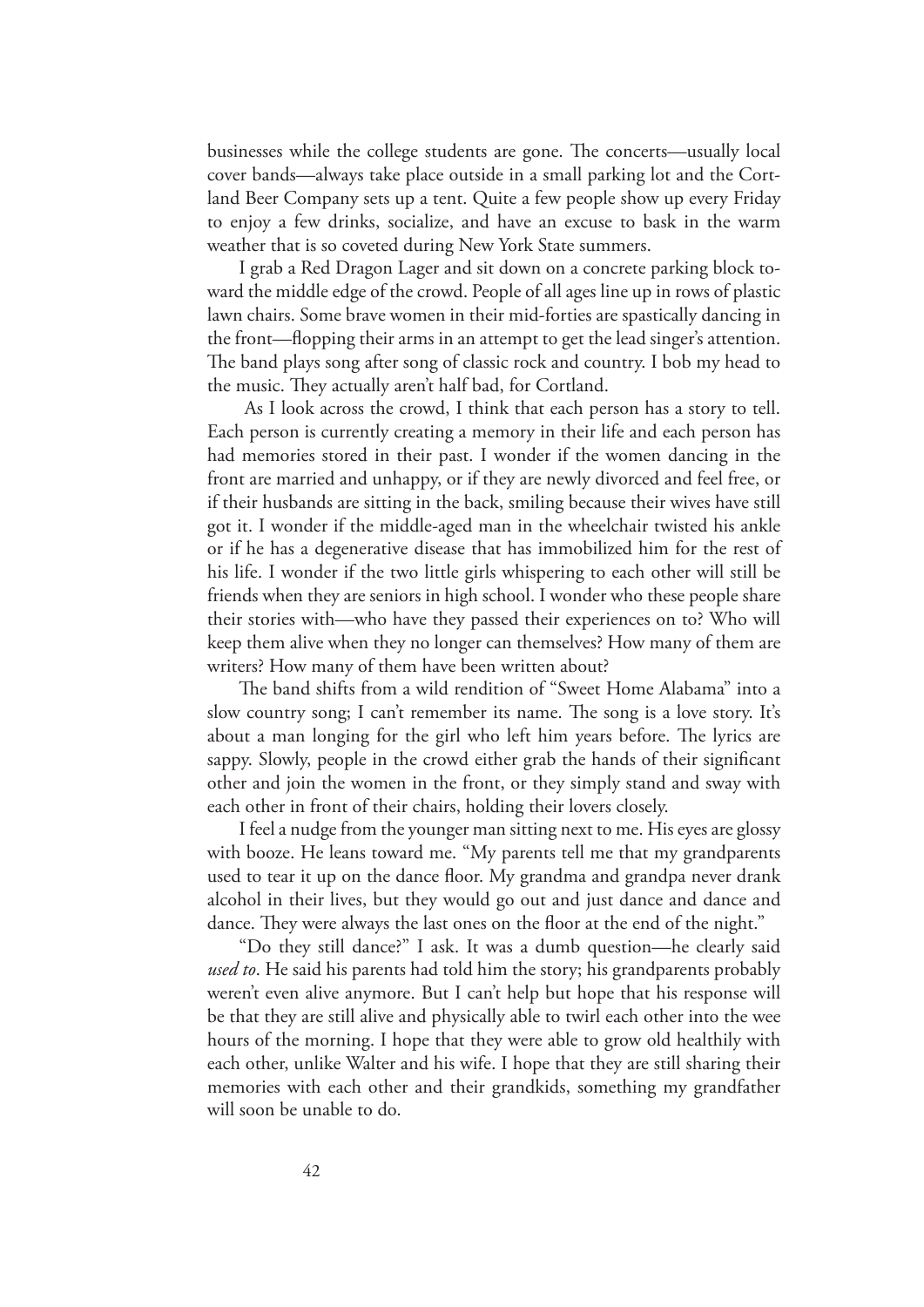businesses while the college students are gone. The concerts—usually local cover bands—always take place outside in a small parking lot and the Cortland Beer Company sets up a tent. Quite a few people show up every Friday to enjoy a few drinks, socialize, and have an excuse to bask in the warm weather that is so coveted during New York State summers.

I grab a Red Dragon Lager and sit down on a concrete parking block toward the middle edge of the crowd. People of all ages line up in rows of plastic lawn chairs. Some brave women in their mid-forties are spastically dancing in the front—flopping their arms in an attempt to get the lead singer's attention. The band plays song after song of classic rock and country. I bob my head to the music. They actually aren't half bad, for Cortland.

 As I look across the crowd, I think that each person has a story to tell. Each person is currently creating a memory in their life and each person has had memories stored in their past. I wonder if the women dancing in the front are married and unhappy, or if they are newly divorced and feel free, or if their husbands are sitting in the back, smiling because their wives have still got it. I wonder if the middle-aged man in the wheelchair twisted his ankle or if he has a degenerative disease that has immobilized him for the rest of his life. I wonder if the two little girls whispering to each other will still be friends when they are seniors in high school. I wonder who these people share their stories with—who have they passed their experiences on to? Who will keep them alive when they no longer can themselves? How many of them are writers? How many of them have been written about?

The band shifts from a wild rendition of "Sweet Home Alabama" into a slow country song; I can't remember its name. The song is a love story. It's about a man longing for the girl who left him years before. The lyrics are sappy. Slowly, people in the crowd either grab the hands of their significant other and join the women in the front, or they simply stand and sway with each other in front of their chairs, holding their lovers closely.

I feel a nudge from the younger man sitting next to me. His eyes are glossy with booze. He leans toward me. "My parents tell me that my grandparents used to tear it up on the dance floor. My grandma and grandpa never drank alcohol in their lives, but they would go out and just dance and dance and dance. They were always the last ones on the floor at the end of the night."

"Do they still dance?" I ask. It was a dumb question—he clearly said *used to*. He said his parents had told him the story; his grandparents probably weren't even alive anymore. But I can't help but hope that his response will be that they are still alive and physically able to twirl each other into the wee hours of the morning. I hope that they were able to grow old healthily with each other, unlike Walter and his wife. I hope that they are still sharing their memories with each other and their grandkids, something my grandfather will soon be unable to do.